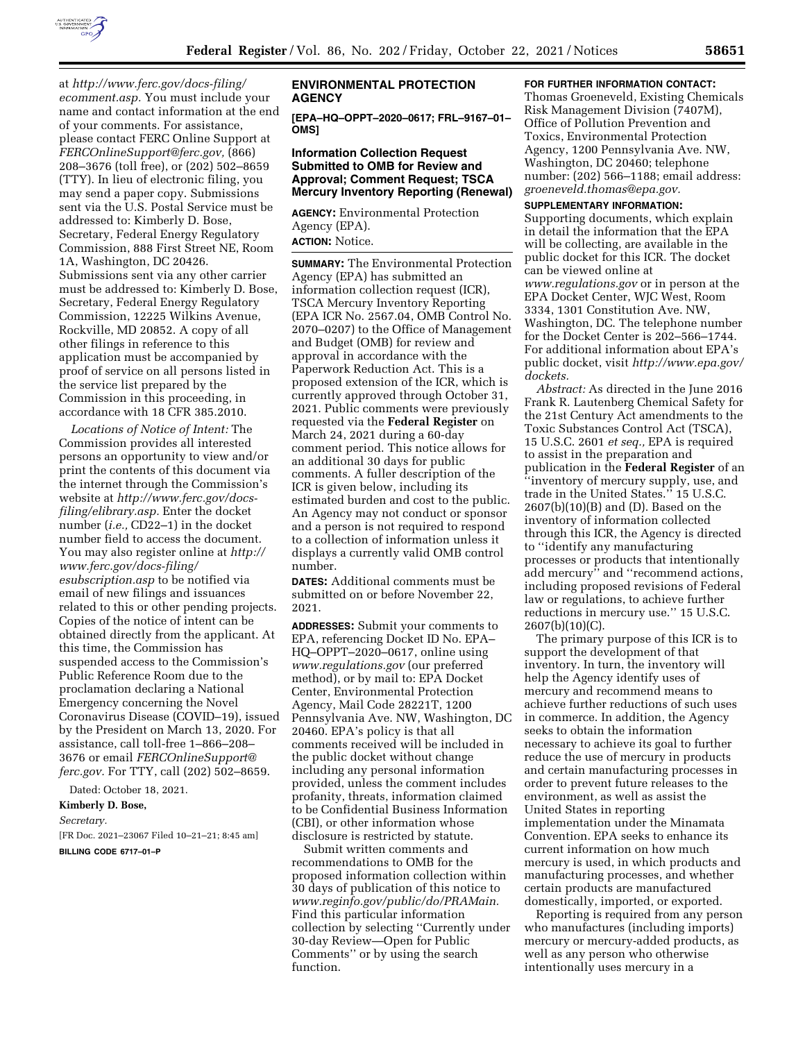

at *[http://www.ferc.gov/docs-filing/](http://www.ferc.gov/docs-filing/ecomment.asp) [ecomment.asp.](http://www.ferc.gov/docs-filing/ecomment.asp)* You must include your name and contact information at the end of your comments. For assistance, please contact FERC Online Support at *[FERCOnlineSupport@ferc.gov,](mailto:FERCOnlineSupport@ferc.gov)* (866) 208–3676 (toll free), or (202) 502–8659 (TTY). In lieu of electronic filing, you may send a paper copy. Submissions sent via the U.S. Postal Service must be addressed to: Kimberly D. Bose, Secretary, Federal Energy Regulatory Commission, 888 First Street NE, Room 1A, Washington, DC 20426. Submissions sent via any other carrier must be addressed to: Kimberly D. Bose, Secretary, Federal Energy Regulatory Commission, 12225 Wilkins Avenue, Rockville, MD 20852. A copy of all other filings in reference to this application must be accompanied by proof of service on all persons listed in the service list prepared by the Commission in this proceeding, in accordance with 18 CFR 385.2010.

*Locations of Notice of Intent:* The Commission provides all interested persons an opportunity to view and/or print the contents of this document via the internet through the Commission's website at *[http://www.ferc.gov/docs](http://www.ferc.gov/docs-filing/elibrary.asp)[filing/elibrary.asp.](http://www.ferc.gov/docs-filing/elibrary.asp)* Enter the docket number (*i.e.,* CD22–1) in the docket number field to access the document. You may also register online at *[http://](http://www.ferc.gov/docs-filing/esubscription.asp)  [www.ferc.gov/docs-filing/](http://www.ferc.gov/docs-filing/esubscription.asp)  [esubscription.asp](http://www.ferc.gov/docs-filing/esubscription.asp)* to be notified via email of new filings and issuances related to this or other pending projects. Copies of the notice of intent can be obtained directly from the applicant. At this time, the Commission has suspended access to the Commission's Public Reference Room due to the proclamation declaring a National Emergency concerning the Novel Coronavirus Disease (COVID–19), issued by the President on March 13, 2020. For assistance, call toll-free 1–866–208– 3676 or email *[FERCOnlineSupport@](mailto:FERCOnlineSupport@ferc.gov) [ferc.gov.](mailto:FERCOnlineSupport@ferc.gov)* For TTY, call (202) 502–8659.

Dated: October 18, 2021.

#### **Kimberly D. Bose,**

*Secretary.* 

[FR Doc. 2021–23067 Filed 10–21–21; 8:45 am] **BILLING CODE 6717–01–P** 

# **ENVIRONMENTAL PROTECTION AGENCY**

**[EPA–HQ–OPPT–2020–0617; FRL–9167–01– OMS]** 

# **Information Collection Request Submitted to OMB for Review and Approval; Comment Request; TSCA Mercury Inventory Reporting (Renewal)**

**AGENCY:** Environmental Protection Agency (EPA). **ACTION:** Notice.

**SUMMARY:** The Environmental Protection Agency (EPA) has submitted an information collection request (ICR), TSCA Mercury Inventory Reporting (EPA ICR No. 2567.04, OMB Control No. 2070–0207) to the Office of Management and Budget (OMB) for review and approval in accordance with the Paperwork Reduction Act. This is a proposed extension of the ICR, which is currently approved through October 31, 2021. Public comments were previously requested via the **Federal Register** on March 24, 2021 during a 60-day comment period. This notice allows for an additional 30 days for public comments. A fuller description of the ICR is given below, including its estimated burden and cost to the public. An Agency may not conduct or sponsor and a person is not required to respond to a collection of information unless it displays a currently valid OMB control number.

**DATES:** Additional comments must be submitted on or before November 22, 2021.

**ADDRESSES:** Submit your comments to EPA, referencing Docket ID No. EPA– HQ–OPPT–2020–0617, online using *[www.regulations.gov](http://www.regulations.gov)* (our preferred method), or by mail to: EPA Docket Center, Environmental Protection Agency, Mail Code 28221T, 1200 Pennsylvania Ave. NW, Washington, DC 20460. EPA's policy is that all comments received will be included in the public docket without change including any personal information provided, unless the comment includes profanity, threats, information claimed to be Confidential Business Information (CBI), or other information whose disclosure is restricted by statute.

Submit written comments and recommendations to OMB for the proposed information collection within 30 days of publication of this notice to *[www.reginfo.gov/public/do/PRAMain.](http://www.reginfo.gov/public/do/PRAMain)*  Find this particular information collection by selecting ''Currently under 30-day Review—Open for Public Comments'' or by using the search function.

### **FOR FURTHER INFORMATION CONTACT:**

Thomas Groeneveld, Existing Chemicals Risk Management Division (7407M), Office of Pollution Prevention and Toxics, Environmental Protection Agency, 1200 Pennsylvania Ave. NW, Washington, DC 20460; telephone number: (202) 566–1188; email address: *[groeneveld.thomas@epa.gov.](mailto:groeneveld.thomas@epa.gov)* 

#### **SUPPLEMENTARY INFORMATION:**

Supporting documents, which explain in detail the information that the EPA will be collecting, are available in the public docket for this ICR. The docket can be viewed online at *[www.regulations.gov](http://www.regulations.gov)* or in person at the EPA Docket Center, WJC West, Room 3334, 1301 Constitution Ave. NW, Washington, DC. The telephone number for the Docket Center is 202–566–1744. For additional information about EPA's public docket, visit *[http://www.epa.gov/](http://www.epa.gov/dockets)  [dockets.](http://www.epa.gov/dockets)* 

*Abstract:* As directed in the June 2016 Frank R. Lautenberg Chemical Safety for the 21st Century Act amendments to the Toxic Substances Control Act (TSCA), 15 U.S.C. 2601 *et seq.,* EPA is required to assist in the preparation and publication in the **Federal Register** of an ''inventory of mercury supply, use, and trade in the United States.'' 15 U.S.C. 2607(b)(10)(B) and (D). Based on the inventory of information collected through this ICR, the Agency is directed to ''identify any manufacturing processes or products that intentionally add mercury'' and ''recommend actions, including proposed revisions of Federal law or regulations, to achieve further reductions in mercury use.'' 15 U.S.C.  $2607(b)(10)(C)$ .

The primary purpose of this ICR is to support the development of that inventory. In turn, the inventory will help the Agency identify uses of mercury and recommend means to achieve further reductions of such uses in commerce. In addition, the Agency seeks to obtain the information necessary to achieve its goal to further reduce the use of mercury in products and certain manufacturing processes in order to prevent future releases to the environment, as well as assist the United States in reporting implementation under the Minamata Convention. EPA seeks to enhance its current information on how much mercury is used, in which products and manufacturing processes, and whether certain products are manufactured domestically, imported, or exported.

Reporting is required from any person who manufactures (including imports) mercury or mercury-added products, as well as any person who otherwise intentionally uses mercury in a